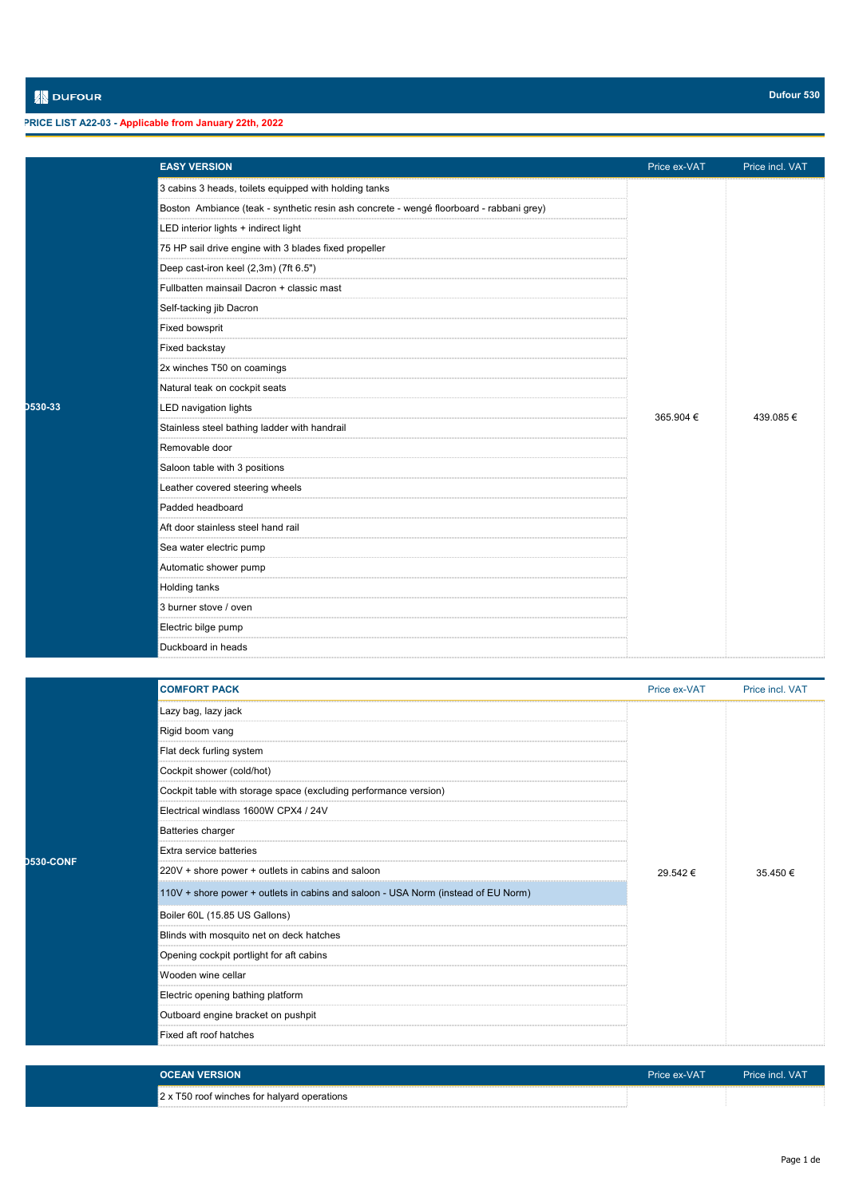## **PRICE LIST A22-03 - Applicable from January 22th, 2022**

|         | <b>EASY VERSION</b>                                                                     | Price ex-VAT | Price incl. VAT |
|---------|-----------------------------------------------------------------------------------------|--------------|-----------------|
|         | 3 cabins 3 heads, toilets equipped with holding tanks                                   |              |                 |
|         | Boston Ambiance (teak - synthetic resin ash concrete - wengé floorboard - rabbani grey) |              |                 |
|         | LED interior lights + indirect light                                                    |              |                 |
|         | 75 HP sail drive engine with 3 blades fixed propeller                                   |              |                 |
|         | Deep cast-iron keel (2,3m) (7ft 6.5")                                                   |              |                 |
|         | Fullbatten mainsail Dacron + classic mast                                               |              |                 |
|         | Self-tacking jib Dacron                                                                 |              |                 |
|         | <b>Fixed bowsprit</b>                                                                   |              |                 |
|         | <b>Fixed backstay</b>                                                                   |              |                 |
|         | 2x winches T50 on coamings                                                              |              |                 |
|         | Natural teak on cockpit seats                                                           |              |                 |
| D530-33 | <b>LED navigation lights</b>                                                            | 365.904 €    | 439.085€        |
|         | Stainless steel bathing ladder with handrail                                            |              |                 |
|         | Removable door                                                                          |              |                 |
|         | Saloon table with 3 positions                                                           |              |                 |
|         | Leather covered steering wheels                                                         |              |                 |
|         | Padded headboard                                                                        |              |                 |
|         | Aft door stainless steel hand rail                                                      |              |                 |
|         | Sea water electric pump                                                                 |              |                 |
|         | Automatic shower pump                                                                   |              |                 |
|         | <b>Holding tanks</b>                                                                    |              |                 |
|         | 3 burner stove / oven                                                                   |              |                 |
|         | Electric bilge pump                                                                     |              |                 |
|         | Duckboard in heads                                                                      |              |                 |

|                  | <b>COMFORT PACK</b>                                                               | Price ex-VAT | Price incl. VAT |
|------------------|-----------------------------------------------------------------------------------|--------------|-----------------|
|                  | Lazy bag, lazy jack                                                               |              | 35.450€         |
|                  | Rigid boom vang                                                                   |              |                 |
|                  | Flat deck furling system                                                          |              |                 |
|                  | Cockpit shower (cold/hot)                                                         |              |                 |
|                  | Cockpit table with storage space (excluding performance version)                  |              |                 |
|                  | Electrical windlass 1600W CPX4 / 24V                                              |              |                 |
|                  | <b>Batteries charger</b>                                                          |              |                 |
| <b>D530-CONF</b> | Extra service batteries                                                           |              |                 |
|                  | 220V + shore power + outlets in cabins and saloon                                 | 29.542€      |                 |
|                  | 110V + shore power + outlets in cabins and saloon - USA Norm (instead of EU Norm) |              |                 |
|                  | Boiler 60L (15.85 US Gallons)                                                     |              |                 |
|                  | Blinds with mosquito net on deck hatches                                          |              |                 |
|                  | Opening cockpit portlight for aft cabins                                          |              |                 |
|                  | Wooden wine cellar                                                                |              |                 |
|                  | Electric opening bathing platform                                                 |              |                 |
|                  | Outboard engine bracket on pushpit                                                |              |                 |
|                  | Fixed aft roof hatches                                                            |              |                 |
|                  |                                                                                   |              |                 |

| <b>OCEAN VERSION</b>                        | Price ex-VAT | Price incl. VAT |
|---------------------------------------------|--------------|-----------------|
| 2 x T50 roof winches for halyard operations |              |                 |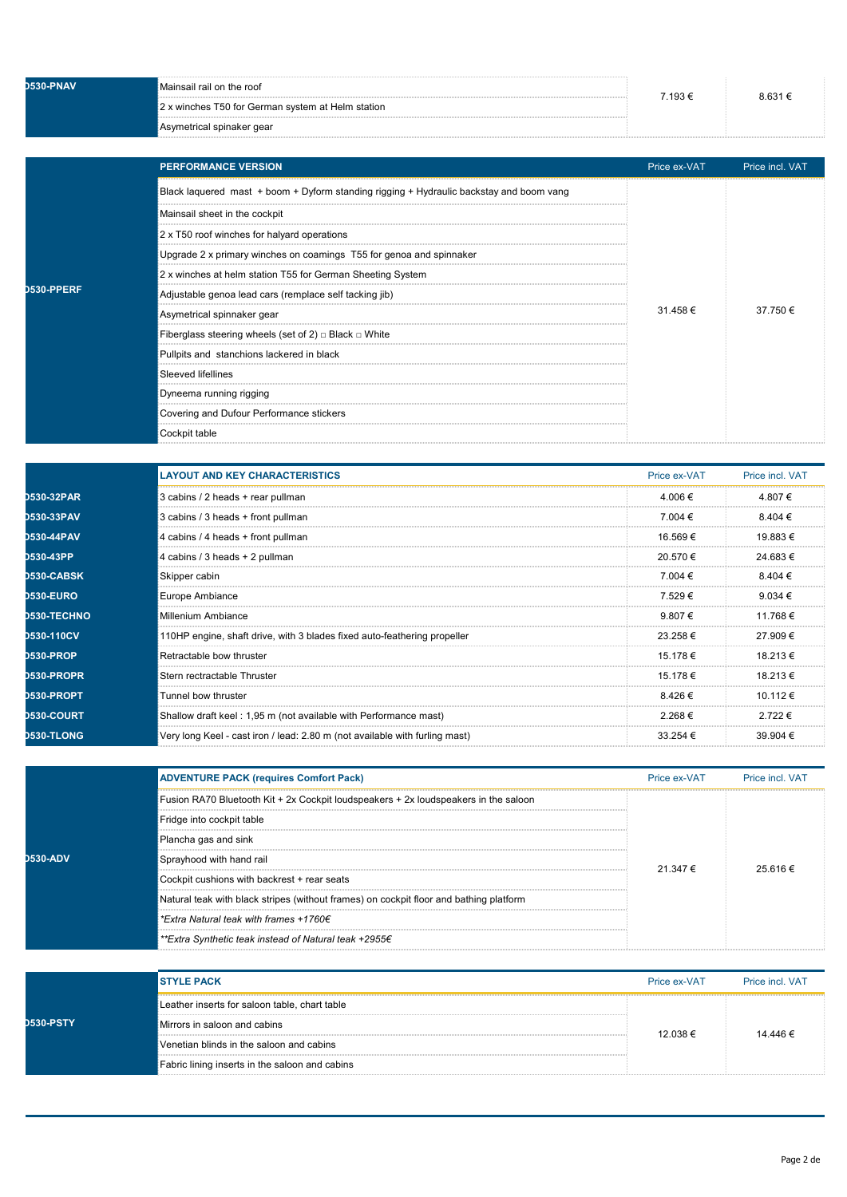| D530-PNAV | Mainsail rail on the roof                         | 7.193 € | 8 631 € |
|-----------|---------------------------------------------------|---------|---------|
|           | 2 x winches T50 for German system at Helm station |         |         |
|           | Asymetrical spinaker gear                         |         |         |

|                 | <b>PERFORMANCE VERSION</b>                                                              | Price ex-VAT | Price incl. VAT |
|-----------------|-----------------------------------------------------------------------------------------|--------------|-----------------|
|                 | Black laquered mast + boom + Dyform standing rigging + Hydraulic backstay and boom vang |              | 37.750€         |
|                 | Mainsail sheet in the cockpit                                                           |              |                 |
|                 | 2 x T50 roof winches for halyard operations                                             |              |                 |
|                 | Upgrade 2 x primary winches on coamings T55 for genoa and spinnaker                     |              |                 |
|                 | 2 x winches at helm station T55 for German Sheeting System                              |              |                 |
| <b>:0-PPERF</b> | Adjustable genoa lead cars (remplace self tacking jib)                                  |              |                 |
|                 | Asymetrical spinnaker gear                                                              | 31.458€      |                 |
|                 | Fiberglass steering wheels (set of 2) $\Box$ Black $\Box$ White                         |              |                 |
|                 | Pullpits and stanchions lackered in black                                               |              |                 |
|                 | <b>Sleeved lifellines</b>                                                               |              |                 |
|                 | Dyneema running rigging                                                                 |              |                 |
|                 | Covering and Dufour Performance stickers                                                |              |                 |
|                 | Cockpit table                                                                           |              |                 |

**D530-PPERF**

|                    | <b>LAYOUT AND KEY CHARACTERISTICS</b>                                       | Price ex-VAT | Price incl. VAT |
|--------------------|-----------------------------------------------------------------------------|--------------|-----------------|
| <b>D530-32PAR</b>  | 3 cabins / 2 heads + rear pullman                                           | 4.006€       | 4.807€          |
| D530-33PAV         | 3 cabins / 3 heads + front pullman                                          | 7.004 €      | $8.404 \in$     |
| <b>D530-44PAV</b>  | 4 cabins / 4 heads + front pullman                                          | 16.569€      | 19.883 €        |
| D530-43PP          | 4 cabins / 3 heads + 2 pullman                                              | 20.570 €     | 24.683€         |
| <b>D530-CABSK</b>  | Skipper cabin                                                               | 7.004 €      | 8.404 €         |
| <b>D530-EURO</b>   | <b>Europe Ambiance</b>                                                      | 7.529€       | 9.034 $\in$     |
| <b>D530-TECHNO</b> | <b>Millenium Ambiance</b>                                                   | 9.807€       | 11.768€         |
| D530-110CV         | 110HP engine, shaft drive, with 3 blades fixed auto-feathering propeller    | 23.258€      | 27.909€         |
| <b>D530-PROP</b>   | Retractable bow thruster                                                    | 15.178 €     | 18.213€         |
| <b>D530-PROPR</b>  | Stern rectractable Thruster                                                 | 15.178 €     | 18.213€         |
| D530-PROPT         | Tunnel bow thruster                                                         | 8.426€       | 10.112 €        |
| <b>D530-COURT</b>  | Shallow draft keel: 1,95 m (not available with Performance mast)            | 2.268€       | 2.722€          |
| <b>D530-TLONG</b>  | Very long Keel - cast iron / lead: 2.80 m (not available with furling mast) | $33.254 \in$ | 39.904 €        |

| <b>ADVENTURE PACK (requires Comfort Pack)</b>                                          | Price ex-VAT | Price incl. VAT |
|----------------------------------------------------------------------------------------|--------------|-----------------|
| Fusion RA70 Bluetooth Kit + 2x Cockpit loudspeakers + 2x loudspeakers in the saloon    |              | 25.616 :        |
| Fridge into cockpit table                                                              |              |                 |
| Plancha gas and sink                                                                   |              |                 |
| Sprayhood with hand rail                                                               | 21 347 €     |                 |
| Cockpit cushions with backrest + rear seats                                            |              |                 |
| Natural teak with black stripes (without frames) on cockpit floor and bathing platform |              |                 |
| *Extra Natural teak with frames +1760€                                                 |              |                 |
| **Extra Synthetic teak instead of Natural teak +2955€                                  |              |                 |

| <b>STYLE PACK</b>                              | Price ex-VAT | Price incl. VAT |
|------------------------------------------------|--------------|-----------------|
| Leather inserts for saloon table, chart table  |              |                 |
| Mirrors in saloon and cabins                   | 12.038 €     | 14.446 €        |
| Venetian blinds in the saloon and cabins       |              |                 |
| Fabric lining inserts in the saloon and cabins |              |                 |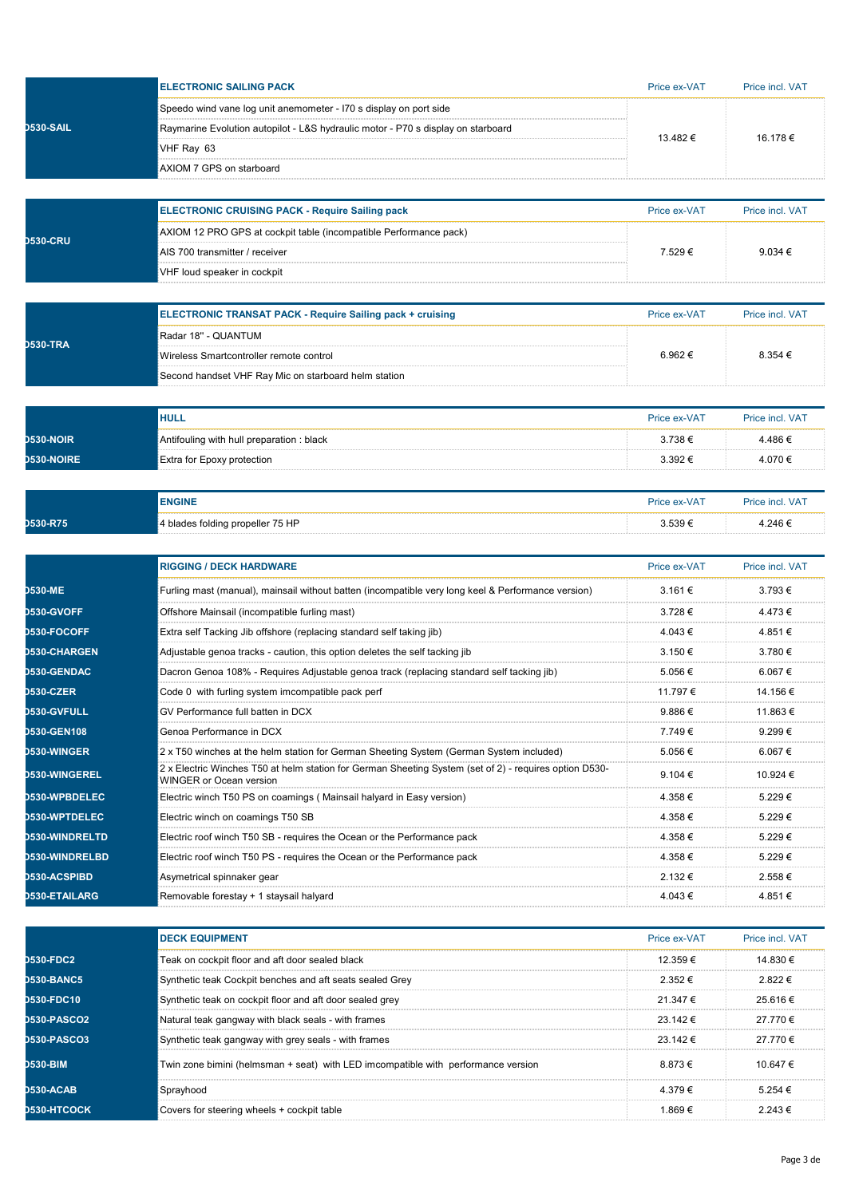|                                          | <b>ELECTRONIC SAILING PACK</b>                                                                                                           | Price ex-VAT            | Price incl. VAT             |
|------------------------------------------|------------------------------------------------------------------------------------------------------------------------------------------|-------------------------|-----------------------------|
|                                          | Speedo wind vane log unit anemometer - I70 s display on port side                                                                        |                         |                             |
| <b>D530-SAIL</b>                         | Raymarine Evolution autopilot - L&S hydraulic motor - P70 s display on starboard                                                         |                         |                             |
|                                          | VHF Ray 63                                                                                                                               | 13.482 €                | 16.178 €                    |
|                                          | AXIOM 7 GPS on starboard                                                                                                                 |                         |                             |
|                                          |                                                                                                                                          |                         |                             |
|                                          | <b>ELECTRONIC CRUISING PACK - Require Sailing pack</b>                                                                                   | Price ex-VAT            | Price incl. VAT             |
| <b>D530-CRU</b>                          | AXIOM 12 PRO GPS at cockpit table (incompatible Performance pack)                                                                        |                         |                             |
|                                          | AIS 700 transmitter / receiver                                                                                                           | 7.529€                  | 9.034 €                     |
|                                          | VHF loud speaker in cockpit                                                                                                              |                         |                             |
|                                          | <b>ELECTRONIC TRANSAT PACK - Require Sailing pack + cruising</b>                                                                         | Price ex-VAT            | Price incl. VAT             |
|                                          | Radar 18" - QUANTUM                                                                                                                      |                         |                             |
| <b>D530-TRA</b>                          | Wireless Smartcontroller remote control                                                                                                  | 6.962€                  | 8.354 €                     |
|                                          | Second handset VHF Ray Mic on starboard helm station                                                                                     |                         |                             |
|                                          |                                                                                                                                          |                         |                             |
|                                          | <b>HULL</b>                                                                                                                              | Price ex-VAT            | Price incl. VAT             |
| <b>D530-NOIR</b>                         | Antifouling with hull preparation : black                                                                                                | $3.738 \in$             | 4.486€                      |
| <b>D530-NOIRE</b>                        | Extra for Epoxy protection                                                                                                               | 3.392€                  | 4.070 €                     |
|                                          | <b>ENGINE</b>                                                                                                                            | Price ex-VAT            | Price incl. VAT             |
| D530-R75                                 | 4 blades folding propeller 75 HP                                                                                                         | $3.539 \in$             | 4.246 €                     |
|                                          |                                                                                                                                          |                         |                             |
|                                          | <b>RIGGING / DECK HARDWARE</b>                                                                                                           | Price ex-VAT            | Price incl. VAT             |
| <b>D530-ME</b>                           | Furling mast (manual), mainsail without batten (incompatible very long keel & Performance version)                                       | 3.161 €                 | 3.793€                      |
| <b>D530-GVOFF</b>                        | Offshore Mainsail (incompatible furling mast)                                                                                            | 3.728€                  | 4.473 €                     |
| <b>D530-FOCOFF</b>                       | Extra self Tacking Jib offshore (replacing standard self taking jib)                                                                     | 4.043 €                 | 4.851€                      |
| <b>D530-CHARGEN</b>                      | Adjustable genoa tracks - caution, this option deletes the self tacking jib                                                              | $3.150 \in$             | 3.780 €                     |
| <b>D530-GENDAC</b>                       | Dacron Genoa 108% - Requires Adjustable genoa track (replacing standard self tacking jib)                                                | 5.056€                  | 6.067€                      |
| <b>D530-CZER</b>                         | Code 0 with furling system imcompatible pack perf                                                                                        | 11.797 €                | 14.156 €                    |
| <b>D530-GVFULL</b>                       | GV Performance full batten in DCX                                                                                                        | 9.886€                  | 11.863€                     |
| <b>D530-GEN108</b>                       | Genoa Performance in DCX                                                                                                                 | 7.749€                  | 9.299€                      |
| <b>D530-WINGER</b>                       | 2 x T50 winches at the helm station for German Sheeting System (German System included)                                                  | 5.056€                  | 6.067€                      |
| <b>D530-WINGEREL</b>                     | 2 x Electric Winches T50 at helm station for German Sheeting System (set of 2) - requires option D530-<br><b>WINGER or Ocean version</b> | $9.104 \in$             | 10.924 €                    |
| <b>D530-WPBDELEC</b>                     | Electric winch T50 PS on coamings (Mainsail halyard in Easy version)                                                                     | 4.358 €                 | 5.229€                      |
| <b>D530-WPTDELEC</b>                     | Electric winch on coamings T50 SB                                                                                                        | 4.358€                  | 5.229€                      |
| <b>D530-WINDRELTD</b>                    | Electric roof winch T50 SB - requires the Ocean or the Performance pack                                                                  | 4.358€                  | 5.229€                      |
| <b>D530-WINDRELBD</b>                    | Electric roof winch T50 PS - requires the Ocean or the Performance pack                                                                  | 4.358 €                 | 5.229€                      |
| <b>D530-ACSPIBD</b>                      | Asymetrical spinnaker gear                                                                                                               | 2.132 €                 | 2.558€                      |
| <b>D530-ETAILARG</b>                     | Removable forestay + 1 staysail halyard                                                                                                  | 4.043 €                 | 4.851 €                     |
|                                          |                                                                                                                                          |                         |                             |
| <b>D530-FDC2</b>                         | <b>DECK EQUIPMENT</b><br>Teak on cockpit floor and aft door sealed black                                                                 | Price ex-VAT<br>12.359€ | Price incl. VAT<br>14.830 € |
|                                          |                                                                                                                                          |                         |                             |
| <b>D530-BANC5</b>                        | Synthetic teak Cockpit benches and aft seats sealed Grey                                                                                 | 2.352€                  | 2.822€                      |
| <b>D530-FDC10</b>                        | Synthetic teak on cockpit floor and aft door sealed grey                                                                                 | 21.347 €                | 25.616 €                    |
| <b>D530-PASCO2</b><br><b>D530-PASCO3</b> | Natural teak gangway with black seals - with frames                                                                                      | 23.142€                 | 27.770€<br>27.770€          |
|                                          | Synthetic teak gangway with grey seals - with frames                                                                                     | 23.142€                 |                             |
| D530-BIM                                 | Twin zone bimini (helmsman + seat) with LED imcompatible with performance version                                                        | 8.873€                  | 10.647 €                    |
| <b>D530-ACAB</b>                         | Sprayhood                                                                                                                                | 4.379€                  | 5.254 €                     |
| <b>D530-HTCOCK</b>                       | Covers for steering wheels + cockpit table                                                                                               | 1.869€                  | 2.243€                      |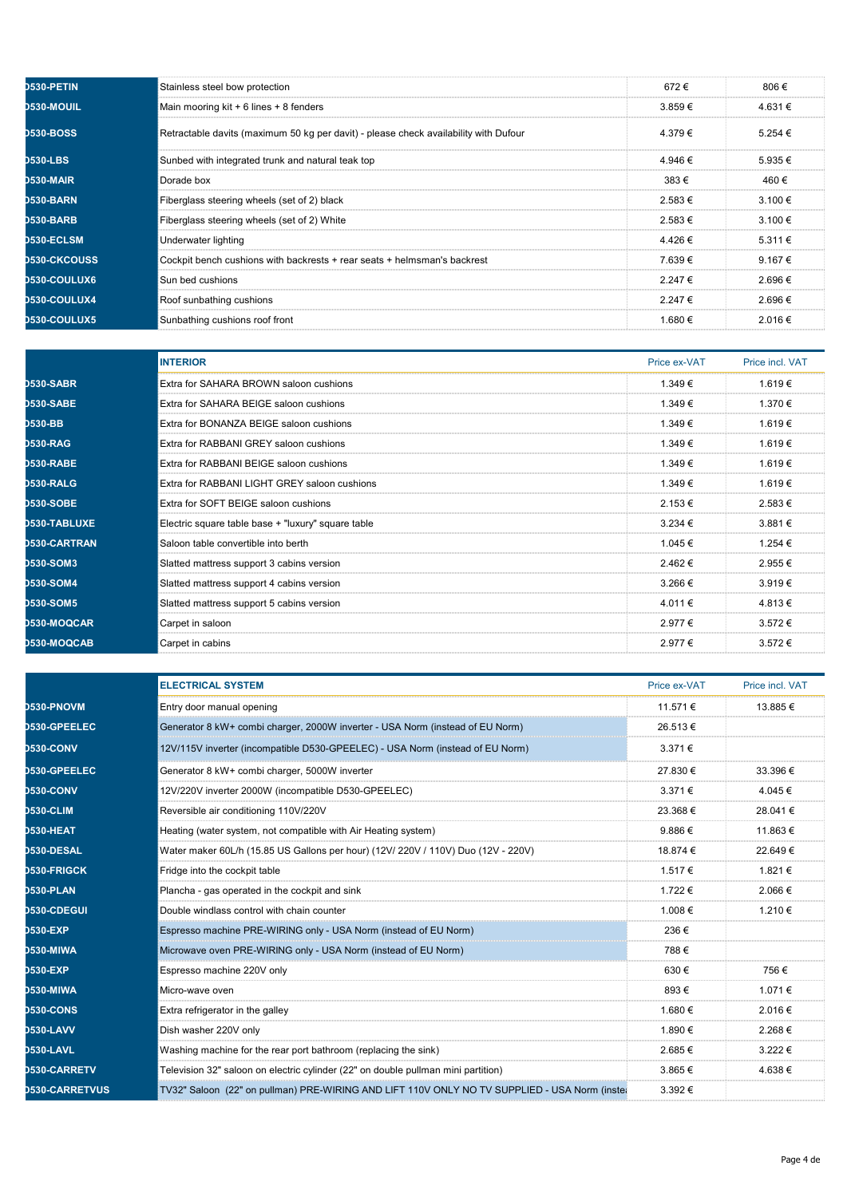| <b>D530-PETIN</b>   | Stainless steel bow protection                                                       | 672€        | 806 €            |
|---------------------|--------------------------------------------------------------------------------------|-------------|------------------|
| <b>D530-MOUIL</b>   | Main mooring kit + 6 lines + 8 fenders                                               | $3.859 \in$ | 4.631 €          |
| <b>D530-BOSS</b>    | Retractable davits (maximum 50 kg per davit) - please check availability with Dufour | 4.379 €     | $5.254 \in$      |
| <b>D530-LBS</b>     | Sunbed with integrated trunk and natural teak top                                    | 4.946 €     | $5.935 \in$      |
| <b>D530-MAIR</b>    | Dorade box                                                                           | 383€        | 460 €            |
| <b>D530-BARN</b>    | Fiberglass steering wheels (set of 2) black                                          | $2.583 \in$ | $3.100 \in$      |
| <b>D530-BARB</b>    | Fiberglass steering wheels (set of 2) White                                          | $2.583 \in$ | $3.100 \in$      |
| <b>D530-ECLSM</b>   | Underwater lighting                                                                  | 4.426€      | $5.311 \in$      |
| <b>D530-CKCOUSS</b> | Cockpit bench cushions with backrests + rear seats + helmsman's backrest             | 7.639€      | 9.167 $\epsilon$ |
| <b>D530-COULUX6</b> | Sun bed cushions                                                                     | 2.247€      | 2.696€           |
| <b>D530-COULUX4</b> | Roof sunbathing cushions                                                             | $2247 \in$  | 2.696€           |
| <b>D530-COULUX5</b> | Sunbathing cushions roof front                                                       | 1.680€      | 2.016€           |

|                     | <b>INTERIOR</b>                                    | Price ex-VAT | Price incl. VAT |
|---------------------|----------------------------------------------------|--------------|-----------------|
| <b>D530-SABR</b>    | Extra for SAHARA BROWN saloon cushions             | 1.349 €      | 1.619€          |
| <b>D530-SABE</b>    | Extra for SAHARA BEIGE saloon cushions             | 1.349 €      | 1.370 €         |
| <b>D530-BB</b>      | Extra for BONANZA BEIGE saloon cushions            | 1.349 €      | 1.619€          |
| <b>D530-RAG</b>     | Extra for RABBANI GREY saloon cushions             | 1.349 €      | 1.619€          |
| <b>D530-RABE</b>    | Extra for RABBANI BEIGE saloon cushions            | 1.349€       | 1.619€          |
| D530-RALG           | Extra for RABBANI LIGHT GREY saloon cushions       | 1.349€       | 1.619€          |
| <b>D530-SOBE</b>    | <b>Extra for SOFT BEIGE saloon cushions</b>        | 2.153 €      | 2.583€          |
| <b>D530-TABLUXE</b> | Electric square table base + "luxury" square table | $3.234 \in$  | $3.881 \in$     |
| <b>D530-CARTRAN</b> | Saloon table convertible into berth                | 1.045 €      | 1.254 €         |
| <b>D530-SOM3</b>    | Slatted mattress support 3 cabins version          | 2.462€       | 2.955€          |
| <b>D530-SOM4</b>    | Slatted mattress support 4 cabins version          | 3.266€       | 3.919€          |
| <b>D530-SOM5</b>    | Slatted mattress support 5 cabins version          | 4.011€       | 4.813€          |
| <b>D530-MOQCAR</b>  | Carpet in saloon                                   | 2.977€       | 3.572€          |
| <b>D530-MOQCAB</b>  | Carpet in cabins                                   | 2.977€       | $3.572 \in$     |

|                       | <b>ELECTRICAL SYSTEM</b>                                                                      | Price ex-VAT | Price incl. VAT |
|-----------------------|-----------------------------------------------------------------------------------------------|--------------|-----------------|
| <b>D530-PNOVM</b>     | Entry door manual opening                                                                     | 11.571 €     | 13.885 €        |
| <b>D530-GPEELEC</b>   | Generator 8 kW+ combi charger, 2000W inverter - USA Norm (instead of EU Norm)                 | 26.513€      |                 |
| <b>D530-CONV</b>      | 12V/115V inverter (incompatible D530-GPEELEC) - USA Norm (instead of EU Norm)                 | 3.371 €      |                 |
| <b>D530-GPEELEC</b>   | Generator 8 kW+ combi charger, 5000W inverter                                                 | 27.830 €     | 33.396 €        |
| <b>D530-CONV</b>      | 12V/220V inverter 2000W (incompatible D530-GPEELEC)                                           | 3.371 €      | 4.045 €         |
| <b>D530-CLIM</b>      | Reversible air conditioning 110V/220V                                                         | 23.368 €     | 28.041€         |
| <b>D530-HEAT</b>      | Heating (water system, not compatible with Air Heating system)                                | 9.886€       | 11.863 €        |
| <b>D530-DESAL</b>     | Water maker 60L/h (15.85 US Gallons per hour) (12V/ 220V / 110V) Duo (12V - 220V)             | 18.874 €     | 22.649€         |
| <b>D530-FRIGCK</b>    | Fridge into the cockpit table                                                                 | 1.517€       | 1.821 €         |
| <b>D530-PLAN</b>      | Plancha - gas operated in the cockpit and sink                                                | 1.722 €      | 2.066 €         |
| <b>D530-CDEGUI</b>    | Double windlass control with chain counter                                                    | 1.008€       | 1.210 €         |
| <b>D530-EXP</b>       | Espresso machine PRE-WIRING only - USA Norm (instead of EU Norm)                              | 236€         |                 |
| <b>D530-MIWA</b>      | Microwave oven PRE-WIRING only - USA Norm (instead of EU Norm)                                | 788€         |                 |
| <b>D530-EXP</b>       | Espresso machine 220V only                                                                    | 630€         | 756€            |
| <b>D530-MIWA</b>      | Micro-wave oven                                                                               | 893€         | 1.071 €         |
| <b>D530-CONS</b>      | Extra refrigerator in the galley                                                              | 1.680 €      | 2.016 €         |
| <b>D530-LAVV</b>      | Dish washer 220V only                                                                         | 1.890 €      | 2.268€          |
| <b>D530-LAVL</b>      | Washing machine for the rear port bathroom (replacing the sink)                               | 2.685€       | $3.222 \in$     |
| <b>D530-CARRETV</b>   | Television 32" saloon on electric cylinder (22" on double pullman mini partition)             | 3.865€       | 4.638€          |
| <b>D530-CARRETVUS</b> | TV32" Saloon (22" on pullman) PRE-WIRING AND LIFT 110V ONLY NO TV SUPPLIED - USA Norm (instea | 3.392€       |                 |